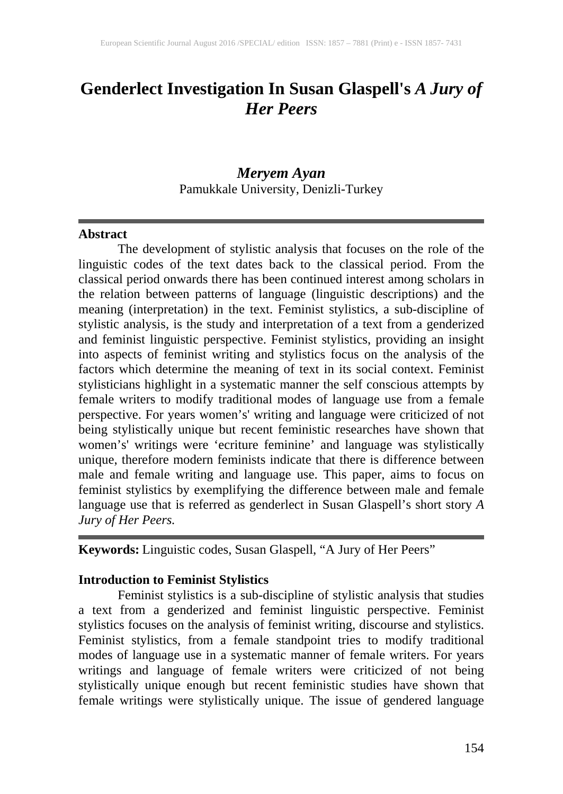# **Genderlect Investigation In Susan Glaspell's** *A Jury of Her Peers*

# *Meryem Ayan* Pamukkale University, Denizli-Turkey

#### **Abstract**

The development of stylistic analysis that focuses on the role of the linguistic codes of the text dates back to the classical period. From the classical period onwards there has been continued interest among scholars in the relation between patterns of language (linguistic descriptions) and the meaning (interpretation) in the text. Feminist stylistics, a sub-discipline of stylistic analysis, is the study and interpretation of a text from a genderized and feminist linguistic perspective. Feminist stylistics, providing an insight into aspects of feminist writing and stylistics focus on the analysis of the factors which determine the meaning of text in its social context. Feminist stylisticians highlight in a systematic manner the self conscious attempts by female writers to modify traditional modes of language use from a female perspective. For years women's' writing and language were criticized of not being stylistically unique but recent feministic researches have shown that women's' writings were 'ecriture feminine' and language was stylistically unique, therefore modern feminists indicate that there is difference between male and female writing and language use. This paper, aims to focus on feminist stylistics by exemplifying the difference between male and female language use that is referred as genderlect in Susan Glaspell's short story *A Jury of Her Peers.*

**Keywords:** Linguistic codes, Susan Glaspell, "A Jury of Her Peers"

### **Introduction to Feminist Stylistics**

Feminist stylistics is a sub-discipline of stylistic analysis that studies a text from a genderized and feminist linguistic perspective. Feminist stylistics focuses on the analysis of feminist writing, discourse and stylistics. Feminist stylistics, from a female standpoint tries to modify traditional modes of language use in a systematic manner of female writers. For years writings and language of female writers were criticized of not being stylistically unique enough but recent feministic studies have shown that female writings were stylistically unique. The issue of gendered language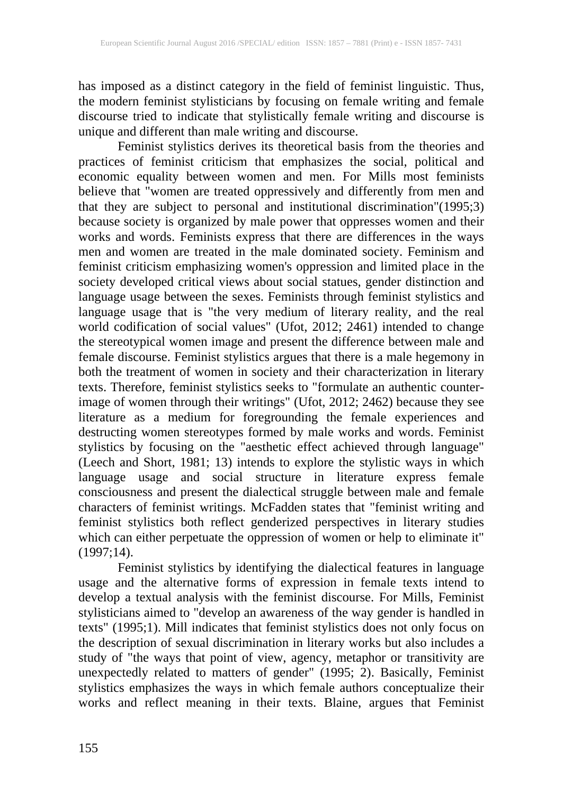has imposed as a distinct category in the field of feminist linguistic. Thus, the modern feminist stylisticians by focusing on female writing and female discourse tried to indicate that stylistically female writing and discourse is unique and different than male writing and discourse.

Feminist stylistics derives its theoretical basis from the theories and practices of feminist criticism that emphasizes the social, political and economic equality between women and men. For Mills most feminists believe that "women are treated oppressively and differently from men and that they are subject to personal and institutional discrimination"(1995;3) because society is organized by male power that oppresses women and their works and words. Feminists express that there are differences in the ways men and women are treated in the male dominated society. Feminism and feminist criticism emphasizing women's oppression and limited place in the society developed critical views about social statues, gender distinction and language usage between the sexes. Feminists through feminist stylistics and language usage that is "the very medium of literary reality, and the real world codification of social values" (Ufot, 2012; 2461) intended to change the stereotypical women image and present the difference between male and female discourse. Feminist stylistics argues that there is a male hegemony in both the treatment of women in society and their characterization in literary texts. Therefore, feminist stylistics seeks to "formulate an authentic counterimage of women through their writings" (Ufot, 2012; 2462) because they see literature as a medium for foregrounding the female experiences and destructing women stereotypes formed by male works and words. Feminist stylistics by focusing on the "aesthetic effect achieved through language" (Leech and Short, 1981; 13) intends to explore the stylistic ways in which language usage and social structure in literature express female consciousness and present the dialectical struggle between male and female characters of feminist writings. McFadden states that "feminist writing and feminist stylistics both reflect genderized perspectives in literary studies which can either perpetuate the oppression of women or help to eliminate it"  $(1997;14)$ .

Feminist stylistics by identifying the dialectical features in language usage and the alternative forms of expression in female texts intend to develop a textual analysis with the feminist discourse. For Mills, Feminist stylisticians aimed to "develop an awareness of the way gender is handled in texts" (1995;1). Mill indicates that feminist stylistics does not only focus on the description of sexual discrimination in literary works but also includes a study of "the ways that point of view, agency, metaphor or transitivity are unexpectedly related to matters of gender" (1995; 2). Basically, Feminist stylistics emphasizes the ways in which female authors conceptualize their works and reflect meaning in their texts. Blaine, argues that Feminist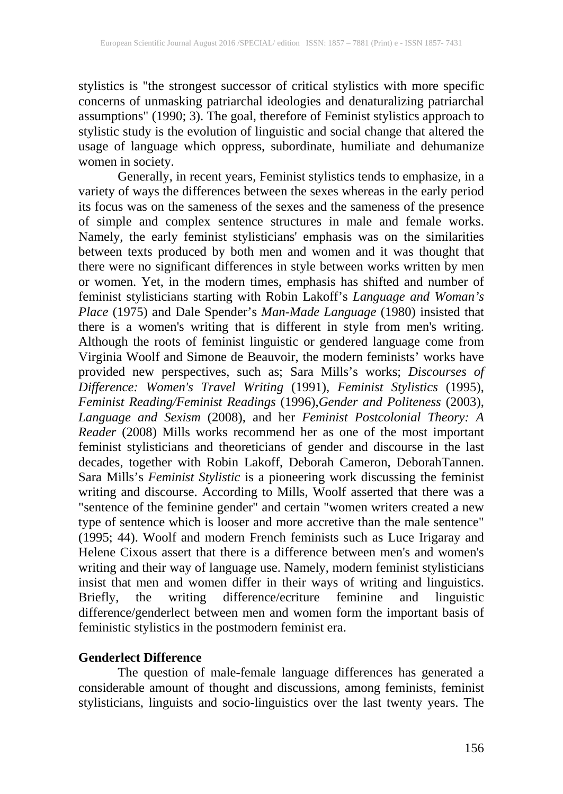stylistics is "the strongest successor of critical stylistics with more specific concerns of unmasking patriarchal ideologies and denaturalizing patriarchal assumptions" (1990; 3). The goal, therefore of Feminist stylistics approach to stylistic study is the evolution of linguistic and social change that altered the usage of language which oppress, subordinate, humiliate and dehumanize women in society.

Generally, in recent years, Feminist stylistics tends to emphasize, in a variety of ways the differences between the sexes whereas in the early period its focus was on the sameness of the sexes and the sameness of the presence of simple and complex sentence structures in male and female works. Namely, the early feminist stylisticians' emphasis was on the similarities between texts produced by both men and women and it was thought that there were no significant differences in style between works written by men or women. Yet, in the modern times, emphasis has shifted and number of feminist stylisticians starting with Robin Lakoff's *Language and Woman's Place* (1975) and Dale Spender's *Man-Made Language* (1980) insisted that there is a women's writing that is different in style from men's writing. Although the roots of feminist linguistic or gendered language come from Virginia Woolf and Simone de Beauvoir, the modern feminists' works have provided new perspectives, such as; Sara Mills's works; *Discourses of Difference: Women's Travel Writing* (1991), *Feminist Stylistics* (1995), *Feminist Reading/Feminist Readings* (1996),*Gender and Politeness* (2003), *Language and Sexism* (2008), and her *Feminist Postcolonial Theory: A Reader* (2008) Mills works recommend her as one of the most important feminist stylisticians and theoreticians of gender and discourse in the last decades, together with Robin Lakoff, Deborah Cameron, DeborahTannen. Sara Mills's *Feminist Stylistic* is a pioneering work discussing the feminist writing and discourse. According to Mills, Woolf asserted that there was a "sentence of the feminine gender" and certain "women writers created a new type of sentence which is looser and more accretive than the male sentence" (1995; 44). Woolf and modern French feminists such as Luce Irigaray and Helene Cixous assert that there is a difference between men's and women's writing and their way of language use. Namely, modern feminist stylisticians insist that men and women differ in their ways of writing and linguistics. Briefly, the writing difference/ecriture feminine and linguistic difference/genderlect between men and women form the important basis of feministic stylistics in the postmodern feminist era.

## **Genderlect Difference**

The question of male-female language differences has generated a considerable amount of thought and discussions, among feminists, feminist stylisticians, linguists and socio-linguistics over the last twenty years. The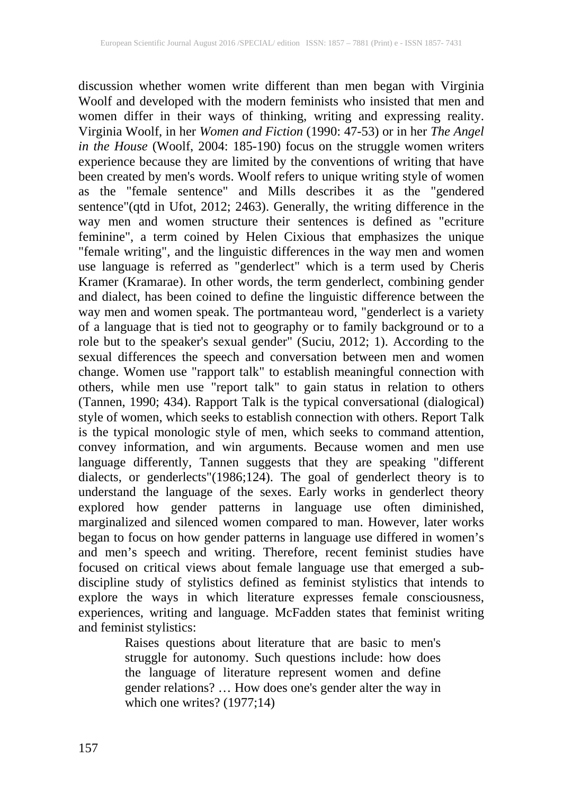discussion whether women write different than men began with Virginia Woolf and developed with the modern feminists who insisted that men and women differ in their ways of thinking, writing and expressing reality. Virginia Woolf, in her *Women and Fiction* (1990: 47-53) or in her *The Angel in the House* (Woolf, 2004: 185-190) focus on the struggle women writers experience because they are limited by the conventions of writing that have been created by men's words. Woolf refers to unique writing style of women as the "female sentence" and Mills describes it as the "gendered sentence"(qtd in Ufot, 2012; 2463). Generally, the writing difference in the way men and women structure their sentences is defined as "ecriture feminine", a term coined by Helen Cixious that emphasizes the unique "female writing", and the linguistic differences in the way men and women use language is referred as "genderlect" which is a term used by Cheris Kramer (Kramarae). In other words, the term genderlect, combining gender and dialect, has been coined to define the linguistic difference between the way men and women speak. The portmanteau word, "genderlect is a variety of a language that is tied not to geography or to family background or to a role but to the speaker's sexual gender" (Suciu, 2012; 1). According to the sexual differences the speech and conversation between men and women change. Women use "rapport talk" to establish meaningful connection with others, while men use "report talk" to gain status in relation to others (Tannen, 1990; 434). Rapport Talk is the typical conversational (dialogical) style of women, which seeks to establish connection with others. Report Talk is the typical monologic style of men, which seeks to command attention, convey information, and win arguments. Because women and men use language differently, Tannen suggests that they are speaking "different dialects, or genderlects"(1986;124). The goal of genderlect theory is to understand the language of the sexes. Early works in genderlect theory explored how gender patterns in language use often diminished, marginalized and silenced women compared to man. However, later works began to focus on how gender patterns in language use differed in women's and men's speech and writing. Therefore, recent feminist studies have focused on critical views about female language use that emerged a subdiscipline study of stylistics defined as feminist stylistics that intends to discipline study of stylistics defined as feminist stylistics that intends to explore the ways in which literature expresses female consciousness, experiences, writing and language. McFadden states that feminist writing and feminist stylistics:

> Raises questions about literature that are basic to men's struggle for autonomy. Such questions include: how does the language of literature represent women and define gender relations? … How does one's gender alter the way in which one writes? (1977;14)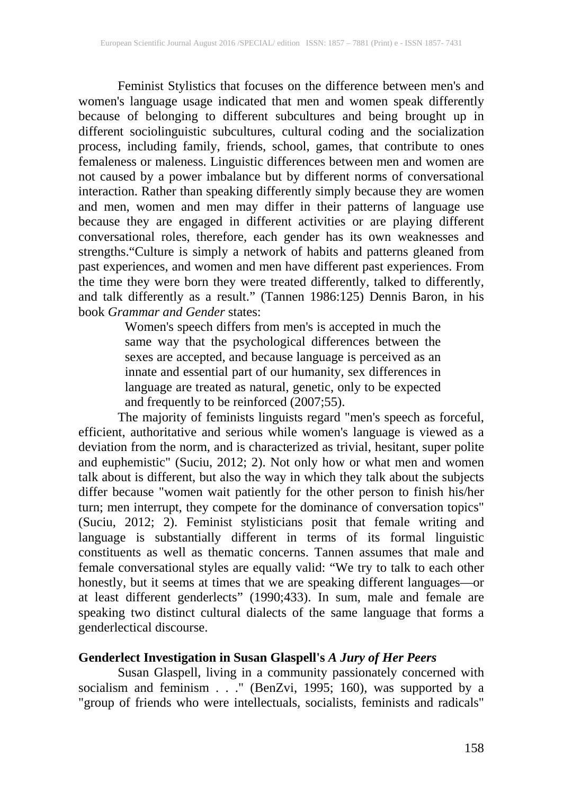Feminist Stylistics that focuses on the difference between men's and women's language usage indicated that men and women speak differently because of belonging to different subcultures and being brought up in different sociolinguistic subcultures, cultural coding and the socialization process, including family, friends, school, games, that contribute to ones femaleness or maleness. Linguistic differences between men and women are not caused by a power imbalance but by different norms of conversational interaction. Rather than speaking differently simply because they are women and men, women and men may differ in their patterns of language use because they are engaged in different activities or are playing different conversational roles, therefore, each gender has its own weaknesses and strengths."Culture is simply a network of habits and patterns gleaned from past experiences, and women and men have different past experiences. From the time they were born they were treated differently, talked to differently, and talk differently as a result." (Tannen 1986:125) Dennis Baron, in his book *Grammar and Gender* states:

Women's speech differs from men's is accepted in much the same way that the psychological differences between the sexes are accepted, and because language is perceived as an innate and essential part of our humanity, sex differences in language are treated as natural, genetic, only to be expected and frequently to be reinforced (2007;55).

The majority of feminists linguists regard "men's speech as forceful, efficient, authoritative and serious while women's language is viewed as a deviation from the norm, and is characterized as trivial, hesitant, super polite and euphemistic" (Suciu, 2012; 2). Not only how or what men and women talk about is different, but also the way in which they talk about the subjects differ because "women wait patiently for the other person to finish his/her turn; men interrupt, they compete for the dominance of conversation topics" (Suciu, 2012; 2). Feminist stylisticians posit that female writing and language is substantially different in terms of its formal linguistic constituents as well as thematic concerns. Tannen assumes that male and female conversational styles are equally valid: "We try to talk to each other honestly, but it seems at times that we are speaking different languages—or at least different genderlects" (1990;433). In sum, male and female are speaking two distinct cultural dialects of the same language that forms a genderlectical discourse.

## **Genderlect Investigation in Susan Glaspell's** *A Jury of Her Peers*

Susan Glaspell, living in a community passionately concerned with socialism and feminism . . ." (BenZvi, 1995; 160), was supported by a "group of friends who were intellectuals, socialists, feminists and radicals"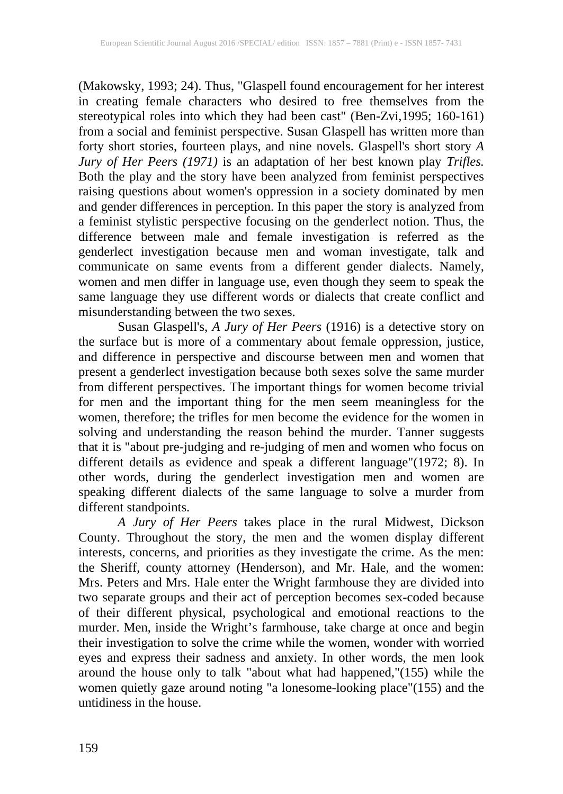(Makowsky, 1993; 24). Thus, "Glaspell found encouragement for her interest in creating female characters who desired to free themselves from the stereotypical roles into which they had been cast" (Ben-Zvi,1995; 160-161) from a social and feminist perspective. Susan Glaspell has written more than forty short stories, fourteen plays, and nine novels. Glaspell's short story *A Jury of Her Peers (1971)* is an adaptation of her best known play *Trifles.* Both the play and the story have been analyzed from feminist perspectives raising questions about women's oppression in a society dominated by men and gender differences in perception. In this paper the story is analyzed from a feminist stylistic perspective focusing on the genderlect notion. Thus, the difference between male and female investigation is referred as the genderlect investigation because men and woman investigate, talk and communicate on same events from a different gender dialects. Namely, women and men differ in language use, even though they seem to speak the same language they use different words or dialects that create conflict and misunderstanding between the two sexes.

Susan Glaspell's, *A Jury of Her Peers* (1916) is a detective story on the surface but is more of a commentary about female oppression, justice, and difference in perspective and discourse between men and women that present a genderlect investigation because both sexes solve the same murder from different perspectives. The important things for women become trivial for men and the important thing for the men seem meaningless for the women, therefore; the trifles for men become the evidence for the women in solving and understanding the reason behind the murder. Tanner suggests that it is "about pre-judging and re-judging of men and women who focus on different details as evidence and speak a different language"(1972; 8). In other words, during the genderlect investigation men and women are speaking different dialects of the same language to solve a murder from different standpoints.

*A Jury of Her Peers* takes place in the rural Midwest, Dickson County. Throughout the story, the men and the women display different interests, concerns, and priorities as they investigate the crime. As the men: the Sheriff, county attorney (Henderson), and Mr. Hale, and the women: Mrs. Peters and Mrs. Hale enter the Wright farmhouse they are divided into two separate groups and their act of perception becomes sex-coded because of their different physical, psychological and emotional reactions to the murder. Men, inside the Wright's farmhouse, take charge at once and begin their investigation to solve the crime while the women, wonder with worried eyes and express their sadness and anxiety. In other words, the men look around the house only to talk "about what had happened,"(155) while the women quietly gaze around noting "a lonesome-looking place"(155) and the untidiness in the house.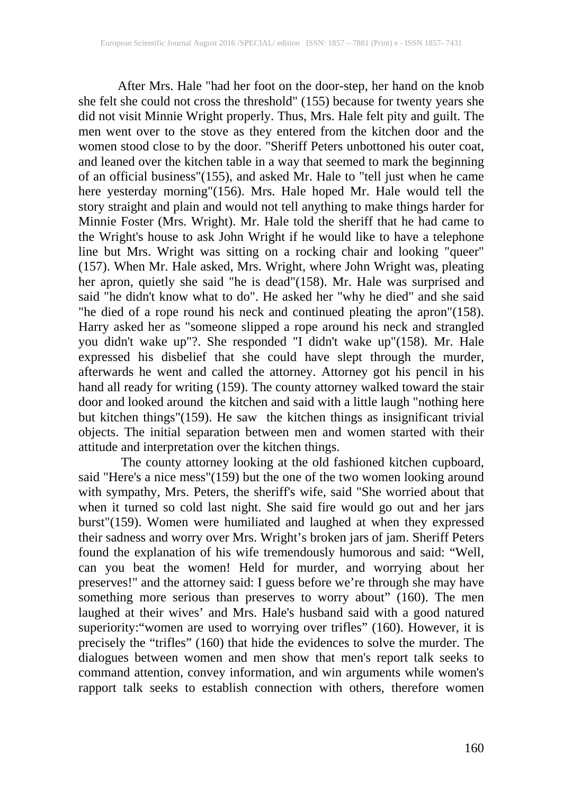After Mrs. Hale "had her foot on the door-step, her hand on the knob she felt she could not cross the threshold" (155) because for twenty years she did not visit Minnie Wright properly. Thus, Mrs. Hale felt pity and guilt. The men went over to the stove as they entered from the kitchen door and the women stood close to by the door. "Sheriff Peters unbottoned his outer coat, and leaned over the kitchen table in a way that seemed to mark the beginning of an official business"(155), and asked Mr. Hale to "tell just when he came here yesterday morning"(156). Mrs. Hale hoped Mr. Hale would tell the story straight and plain and would not tell anything to make things harder for Minnie Foster (Mrs. Wright). Mr. Hale told the sheriff that he had came to the Wright's house to ask John Wright if he would like to have a telephone line but Mrs. Wright was sitting on a rocking chair and looking "queer" (157). When Mr. Hale asked, Mrs. Wright, where John Wright was, pleating her apron, quietly she said "he is dead"(158). Mr. Hale was surprised and said "he didn't know what to do". He asked her "why he died" and she said "he died of a rope round his neck and continued pleating the apron"(158). Harry asked her as "someone slipped a rope around his neck and strangled you didn't wake up"?. She responded "I didn't wake up"(158). Mr. Hale expressed his disbelief that she could have slept through the murder, afterwards he went and called the attorney. Attorney got his pencil in his hand all ready for writing (159). The county attorney walked toward the stair door and looked around the kitchen and said with a little laugh "nothing here but kitchen things"(159). He saw the kitchen things as insignificant trivial objects. The initial separation between men and women started with their attitude and interpretation over the kitchen things.

The county attorney looking at the old fashioned kitchen cupboard, said "Here's a nice mess"(159) but the one of the two women looking around with sympathy, Mrs. Peters, the sheriff's wife, said "She worried about that when it turned so cold last night. She said fire would go out and her jars burst"(159). Women were humiliated and laughed at when they expressed their sadness and worry over Mrs. Wright's broken jars of jam. Sheriff Peters found the explanation of his wife tremendously humorous and said: "Well, can you beat the women! Held for murder, and worrying about her preserves!" and the attorney said: I guess before we're through she may have something more serious than preserves to worry about" (160). The men laughed at their wives' and Mrs. Hale's husband said with a good natured superiority:"women are used to worrying over trifles" (160). However, it is precisely the "trifles" (160) that hide the evidences to solve the murder. The dialogues between women and men show that men's report talk seeks to command attention, convey information, and win arguments while women's rapport talk seeks to establish connection with others, therefore women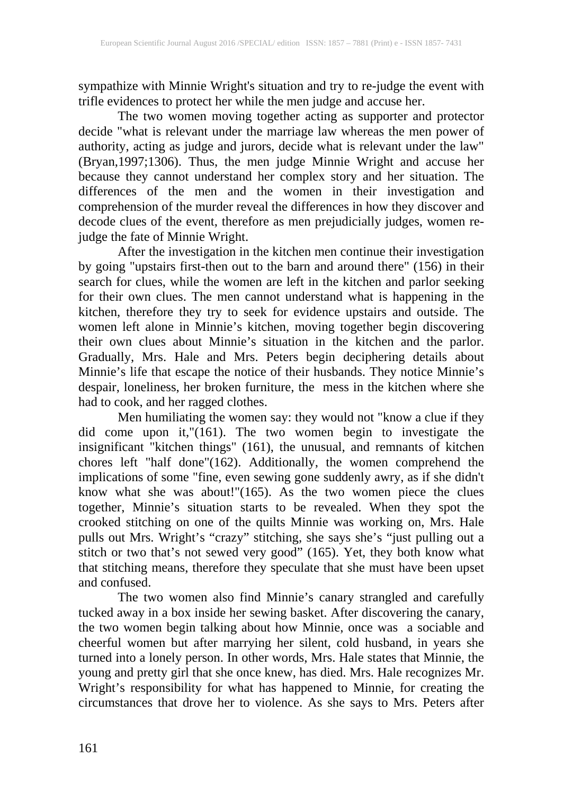sympathize with Minnie Wright's situation and try to re-judge the event with trifle evidences to protect her while the men judge and accuse her.

The two women moving together acting as supporter and protector decide "what is relevant under the marriage law whereas the men power of authority, acting as judge and jurors, decide what is relevant under the law" (Bryan,1997;1306). Thus, the men judge Minnie Wright and accuse her because they cannot understand her complex story and her situation. The differences of the men and the women in their investigation and comprehension of the murder reveal the differences in how they discover and decode clues of the event, therefore as men prejudicially judges, women rejudge the fate of Minnie Wright.

After the investigation in the kitchen men continue their investigation by going "upstairs first-then out to the barn and around there" (156) in their search for clues, while the women are left in the kitchen and parlor seeking for their own clues. The men cannot understand what is happening in the kitchen, therefore they try to seek for evidence upstairs and outside. The women left alone in Minnie's kitchen, moving together begin discovering their own clues about Minnie's situation in the kitchen and the parlor. Gradually, Mrs. Hale and Mrs. Peters begin deciphering details about Minnie's life that escape the notice of their husbands. They notice Minnie's despair, loneliness, her broken furniture, the mess in the kitchen where she had to cook, and her ragged clothes.

Men humiliating the women say: they would not "know a clue if they did come upon it,"(161). The two women begin to investigate the insignificant "kitchen things" (161), the unusual, and remnants of kitchen chores left "half done"(162). Additionally, the women comprehend the implications of some "fine, even sewing gone suddenly awry, as if she didn't know what she was about!"(165). As the two women piece the clues together, Minnie's situation starts to be revealed. When they spot the crooked stitching on one of the quilts Minnie was working on, Mrs. Hale pulls out Mrs. Wright's "crazy" stitching, she says she's "just pulling out a stitch or two that's not sewed very good" (165). Yet, they both know what that stitching means, therefore they speculate that she must have been upset and confused.

The two women also find Minnie's canary strangled and carefully tucked away in a box inside her sewing basket. After discovering the canary, the two women begin talking about how Minnie, once was a sociable and cheerful women but after marrying her silent, cold husband, in years she turned into a lonely person. In other words, Mrs. Hale states that Minnie, the young and pretty girl that she once knew, has died. Mrs. Hale recognizes Mr. Wright's responsibility for what has happened to Minnie, for creating the circumstances that drove her to violence. As she says to Mrs. Peters after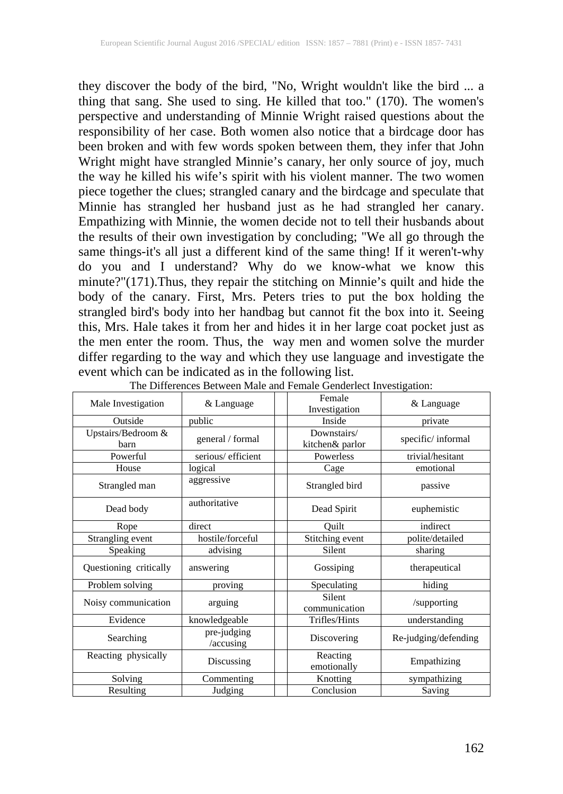they discover the body of the bird, "No, Wright wouldn't like the bird ... a thing that sang. She used to sing. He killed that too." (170). The women's perspective and understanding of Minnie Wright raised questions about the responsibility of her case. Both women also notice that a birdcage door has been broken and with few words spoken between them, they infer that John Wright might have strangled Minnie's canary, her only source of joy, much the way he killed his wife's spirit with his violent manner. The two women piece together the clues; strangled canary and the birdcage and speculate that Minnie has strangled her husband just as he had strangled her canary. Empathizing with Minnie, the women decide not to tell their husbands about the results of their own investigation by concluding; "We all go through the same things-it's all just a different kind of the same thing! If it weren't-why do you and I understand? Why do we know-what we know this minute?"(171).Thus, they repair the stitching on Minnie's quilt and hide the body of the canary. First, Mrs. Peters tries to put the box holding the strangled bird's body into her handbag but cannot fit the box into it. Seeing this, Mrs. Hale takes it from her and hides it in her large coat pocket just as the men enter the room. Thus, the way men and women solve the murder differ regarding to the way and which they use language and investigate the event which can be indicated as in the following list.

| Male Investigation                | & Language               | Female                         | & Language           |
|-----------------------------------|--------------------------|--------------------------------|----------------------|
|                                   |                          | Investigation                  |                      |
| Outside                           | public                   | Inside                         | private              |
| Upstairs/Bedroom &<br><b>barn</b> | general / formal         | Downstairs/<br>kitchen& parlor | specific/informal    |
| Powerful                          | serious/efficient        | Powerless                      | trivial/hesitant     |
| House                             | logical                  | Cage                           | emotional            |
| Strangled man                     | aggressive               | Strangled bird                 | passive              |
| Dead body                         | authoritative            | Dead Spirit                    | euphemistic          |
| Rope                              | direct                   | Ouilt                          | indirect             |
| Strangling event                  | hostile/forceful         | Stitching event                | polite/detailed      |
| Speaking                          | advising                 | Silent                         | sharing              |
| Questioning critically            | answering                | Gossiping                      | therapeutical        |
| Problem solving                   | proving                  | Speculating                    | hiding               |
| Noisy communication               | arguing                  | <b>Silent</b><br>communication | /supporting          |
| Evidence                          | knowledgeable            | Trifles/Hints                  | understanding        |
| Searching                         | pre-judging<br>/accusing | Discovering                    | Re-judging/defending |
| Reacting physically               | Discussing               | Reacting<br>emotionally        | Empathizing          |
| Solving                           | Commenting               | Knotting                       | sympathizing         |
| Resulting                         | Judging                  | Conclusion                     | Saving               |

The Differences Between Male and Female Genderlect Investigation: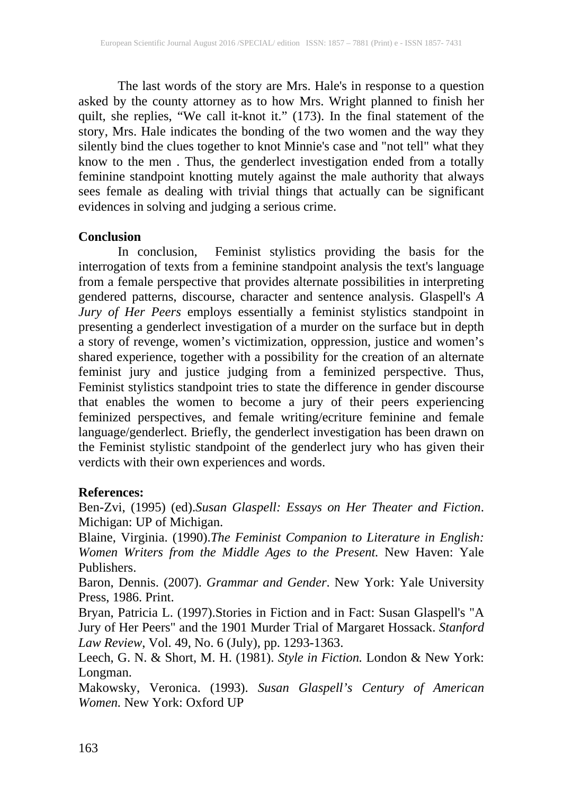The last words of the story are Mrs. Hale's in response to a question asked by the county attorney as to how Mrs. Wright planned to finish her quilt, she replies, "We call it-knot it." (173). In the final statement of the story, Mrs. Hale indicates the bonding of the two women and the way they silently bind the clues together to knot Minnie's case and "not tell" what they know to the men . Thus, the genderlect investigation ended from a totally feminine standpoint knotting mutely against the male authority that always sees female as dealing with trivial things that actually can be significant evidences in solving and judging a serious crime.

## **Conclusion**

In conclusion, Feminist stylistics providing the basis for the interrogation of texts from a feminine standpoint analysis the text's language from a female perspective that provides alternate possibilities in interpreting gendered patterns, discourse, character and sentence analysis. Glaspell's *A Jury of Her Peers* employs essentially a feminist stylistics standpoint in presenting a genderlect investigation of a murder on the surface but in depth a story of revenge, women's victimization, oppression, justice and women's shared experience, together with a possibility for the creation of an alternate feminist jury and justice judging from a feminized perspective. Thus, Feminist stylistics standpoint tries to state the difference in gender discourse that enables the women to become a jury of their peers experiencing feminized perspectives, and female writing/ecriture feminine and female language/genderlect. Briefly, the genderlect investigation has been drawn on the Feminist stylistic standpoint of the genderlect jury who has given their verdicts with their own experiences and words.

### **References:**

Ben-Zvi, (1995) (ed).*Susan Glaspell: Essays on Her Theater and Fiction*. Michigan: UP of Michigan.

Blaine, Virginia. (1990).*The Feminist Companion to Literature in English: Women Writers from the Middle Ages to the Present.* New Haven: Yale Publishers.

Baron, Dennis. (2007). *Grammar and Gender*. New York: Yale University Press, 1986. Print.

Bryan, Patricia L. (1997).Stories in Fiction and in Fact: Susan Glaspell's "A Jury of Her Peers" and the 1901 Murder Trial of Margaret Hossack. *Stanford Law Review*, Vol. 49, No. 6 (July), pp. 1293-1363.

Leech, G. N. & Short, M. H. (1981). *Style in Fiction.* London & New York: Longman.

Makowsky, Veronica. (1993). *Susan Glaspell's Century of American Women.* New York: Oxford UP